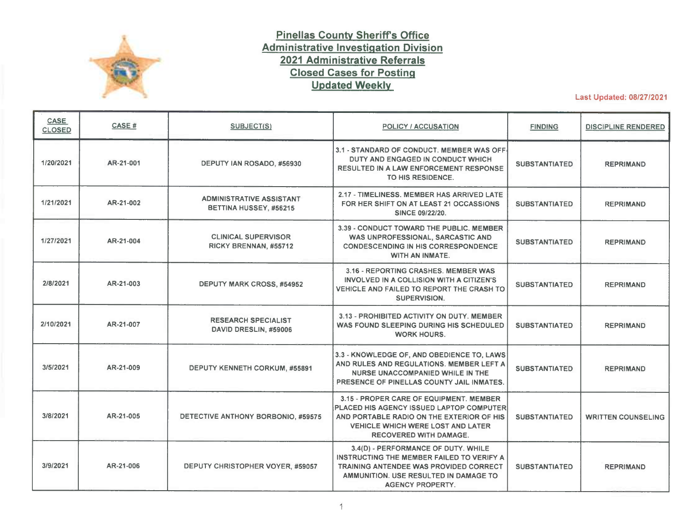

## **Pinellas County Sheriffs Office Administrative Investigation Division 2021 Administrative Referrals Closed Cases for Posting Updated Weekly**

Last Updated: 08/27/2021

| <b>CASE</b><br><b>CLOSED</b> | CASE#     | <b>SUBJECT(S)</b>                                         | <b>POLICY / ACCUSATION</b>                                                                                                                                                                                    | <b>FINDING</b>       | <b>DISCIPLINE RENDERED</b> |
|------------------------------|-----------|-----------------------------------------------------------|---------------------------------------------------------------------------------------------------------------------------------------------------------------------------------------------------------------|----------------------|----------------------------|
| 1/20/2021                    | AR-21-001 | DEPUTY IAN ROSADO, #56930                                 | 3.1 - STANDARD OF CONDUCT. MEMBER WAS OFF-<br>DUTY AND ENGAGED IN CONDUCT WHICH<br><b>RESULTED IN A LAW ENFORCEMENT RESPONSE</b><br>TO HIS RESIDENCE.                                                         | <b>SUBSTANTIATED</b> | <b>REPRIMAND</b>           |
| 1/21/2021                    | AR-21-002 | <b>ADMINISTRATIVE ASSISTANT</b><br>BETTINA HUSSEY, #56215 | 2.17 - TIMELINESS, MEMBER HAS ARRIVED LATE<br>FOR HER SHIFT ON AT LEAST 21 OCCASSIONS<br>SINCE 09/22/20.                                                                                                      | <b>SUBSTANTIATED</b> | <b>REPRIMAND</b>           |
| 1/27/2021                    | AR-21-004 | <b>CLINICAL SUPERVISOR</b><br>RICKY BRENNAN, #55712       | 3.39 - CONDUCT TOWARD THE PUBLIC, MEMBER<br>WAS UNPROFESSIONAL, SARCASTIC AND<br><b>CONDESCENDING IN HIS CORRESPONDENCE</b><br><b>WITH AN INMATE.</b>                                                         | <b>SUBSTANTIATED</b> | <b>REPRIMAND</b>           |
| 2/8/2021                     | AR-21-003 | <b>DEPUTY MARK CROSS, #54952</b>                          | 3.16 - REPORTING CRASHES, MEMBER WAS<br>INVOLVED IN A COLLISION WITH A CITIZEN'S<br>VEHICLE AND FAILED TO REPORT THE CRASH TO<br>SUPERVISION.                                                                 | <b>SUBSTANTIATED</b> | <b>REPRIMAND</b>           |
| 2/10/2021                    | AR-21-007 | <b>RESEARCH SPECIALIST</b><br>DAVID DRESLIN, #59006       | 3.13 - PROHIBITED ACTIVITY ON DUTY. MEMBER<br>WAS FOUND SLEEPING DURING HIS SCHEDULED<br><b>WORK HOURS.</b>                                                                                                   | <b>SUBSTANTIATED</b> | <b>REPRIMAND</b>           |
| 3/5/2021                     | AR-21-009 | <b>DEPUTY KENNETH CORKUM, #55891</b>                      | 3.3 - KNOWLEDGE OF, AND OBEDIENCE TO, LAWS<br>AND RULES AND REGULATIONS. MEMBER LEFT A<br>NURSE UNACCOMPANIED WHILE IN THE<br>PRESENCE OF PINELLAS COUNTY JAIL INMATES.                                       | <b>SUBSTANTIATED</b> | <b>REPRIMAND</b>           |
| 3/8/2021                     | AR-21-005 | DETECTIVE ANTHONY BORBONIO, #59575                        | 3.15 - PROPER CARE OF EQUIPMENT. MEMBER<br>PLACED HIS AGENCY ISSUED LAPTOP COMPUTER<br>AND PORTABLE RADIO ON THE EXTERIOR OF HIS<br><b>VEHICLE WHICH WERE LOST AND LATER</b><br><b>RECOVERED WITH DAMAGE.</b> | <b>SUBSTANTIATED</b> | <b>WRITTEN COUNSELING</b>  |
| 3/9/2021                     | AR-21-006 | DEPUTY CHRISTOPHER VOYER, #59057                          | 3.4(D) - PERFORMANCE OF DUTY. WHILE<br>INSTRUCTING THE MEMBER FAILED TO VERIFY A<br><b>TRAINING ANTENDEE WAS PROVIDED CORRECT</b><br>AMMUNITION, USE RESULTED IN DAMAGE TO<br><b>AGENCY PROPERTY.</b>         | <b>SUBSTANTIATED</b> | <b>REPRIMAND</b>           |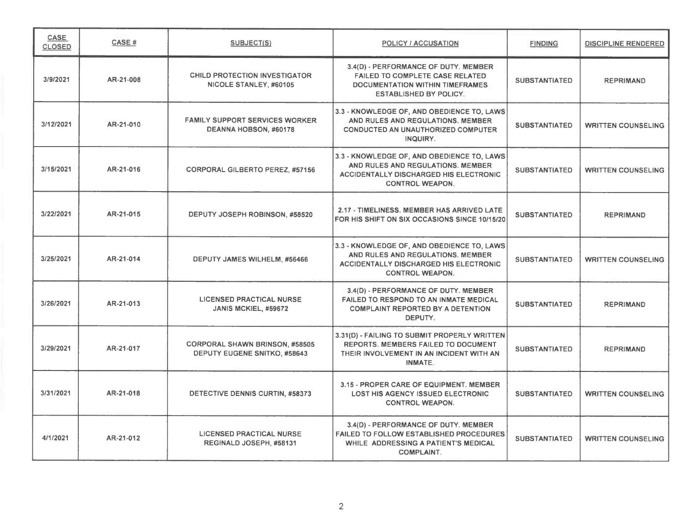| <b>CASE</b><br><b>CLOSED</b> | <b>CASE#</b> | SUBJECT(S)                                                                   | <b>POLICY / ACCUSATION</b>                                                                                                                                 | <b>FINDING</b>       | <b>DISCIPLINE RENDERED</b> |
|------------------------------|--------------|------------------------------------------------------------------------------|------------------------------------------------------------------------------------------------------------------------------------------------------------|----------------------|----------------------------|
| 3/9/2021                     | AR-21-008    | <b>CHILD PROTECTION INVESTIGATOR</b><br>NICOLE STANLEY, #60105               | 3.4(D) - PERFORMANCE OF DUTY. MEMBER<br><b>FAILED TO COMPLETE CASE RELATED</b><br>DOCUMENTATION WITHIN TIMEFRAMES<br><b>ESTABLISHED BY POLICY.</b>         | <b>SUBSTANTIATED</b> | <b>REPRIMAND</b>           |
| 3/12/2021                    | AR-21-010    | <b>FAMILY SUPPORT SERVICES WORKER</b><br>DEANNA HOBSON, #60178               | 3.3 - KNOWLEDGE OF, AND OBEDIENCE TO, LAWS<br>AND RULES AND REGULATIONS. MEMBER<br><b>CONDUCTED AN UNAUTHORIZED COMPUTER</b><br>INQUIRY.                   | <b>SUBSTANTIATED</b> | <b>WRITTEN COUNSELING</b>  |
| 3/15/2021                    | AR-21-016    | <b>CORPORAL GILBERTO PEREZ, #57156</b>                                       | 3.3 - KNOWLEDGE OF, AND OBEDIENCE TO, LAWS<br>AND RULES AND REGULATIONS. MEMBER<br><b>ACCIDENTALLY DISCHARGED HIS ELECTRONIC</b><br><b>CONTROL WEAPON.</b> | <b>SUBSTANTIATED</b> | <b>WRITTEN COUNSELING</b>  |
| 3/22/2021                    | AR-21-015    | DEPUTY JOSEPH ROBINSON, #58520                                               | 2.17 - TIMELINESS, MEMBER HAS ARRIVED LATE<br>FOR HIS SHIFT ON SIX OCCASIONS SINCE 10/15/20                                                                | <b>SUBSTANTIATED</b> | <b>REPRIMAND</b>           |
| 3/25/2021                    | AR-21-014    | DEPUTY JAMES WILHELM, #56466                                                 | 3.3 - KNOWLEDGE OF, AND OBEDIENCE TO, LAWS<br>AND RULES AND REGULATIONS. MEMBER<br><b>ACCIDENTALLY DISCHARGED HIS ELECTRONIC</b><br><b>CONTROL WEAPON.</b> | <b>SUBSTANTIATED</b> | <b>WRITTEN COUNSELING</b>  |
| 3/26/2021                    | AR-21-013    | <b>LICENSED PRACTICAL NURSE</b><br>JANIS MCKIEL, #59672                      | 3.4(D) - PERFORMANCE OF DUTY. MEMBER<br>FAILED TO RESPOND TO AN INMATE MEDICAL<br><b>COMPLAINT REPORTED BY A DETENTION</b><br>DEPUTY.                      | <b>SUBSTANTIATED</b> | <b>REPRIMAND</b>           |
| 3/29/2021                    | AR-21-017    | <b>CORPORAL SHAWN BRINSON, #58505</b><br><b>DEPUTY EUGENE SNITKO, #58643</b> | 3.31(D) - FAILING TO SUBMIT PROPERLY WRITTEN<br>REPORTS. MEMBERS FAILED TO DOCUMENT<br>THEIR INVOLVEMENT IN AN INCIDENT WITH AN<br>INMATE.                 | <b>SUBSTANTIATED</b> | <b>REPRIMAND</b>           |
| 3/31/2021                    | AR-21-018    | DETECTIVE DENNIS CURTIN, #58373                                              | 3.15 - PROPER CARE OF EQUIPMENT. MEMBER<br><b>LOST HIS AGENCY ISSUED ELECTRONIC</b><br><b>CONTROL WEAPON.</b>                                              | <b>SUBSTANTIATED</b> | <b>WRITTEN COUNSELING</b>  |
| 4/1/2021                     | AR-21-012    | <b>LICENSED PRACTICAL NURSE</b><br>REGINALD JOSEPH, #58131                   | 3.4(D) - PERFORMANCE OF DUTY. MEMBER<br><b>FAILED TO FOLLOW ESTABLISHED PROCEDURES</b><br>WHILE ADDRESSING A PATIENT'S MEDICAL<br><b>COMPLAINT.</b>        | <b>SUBSTANTIATED</b> | <b>WRITTEN COUNSELING</b>  |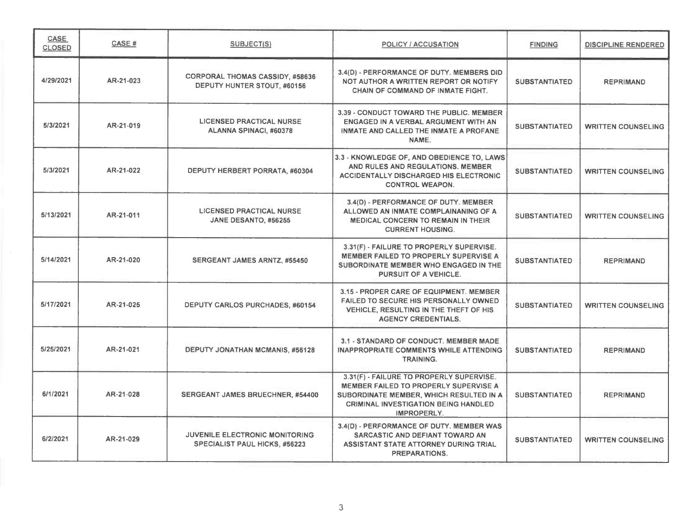| CASE<br><b>CLOSED</b> | CASE#     | <b>SUBJECT(S)</b>                                                             | <b>POLICY / ACCUSATION</b>                                                                                                                                                                 | <b>FINDING</b>       | <b>DISCIPLINE RENDERED</b> |
|-----------------------|-----------|-------------------------------------------------------------------------------|--------------------------------------------------------------------------------------------------------------------------------------------------------------------------------------------|----------------------|----------------------------|
| 4/29/2021             | AR-21-023 | <b>CORPORAL THOMAS CASSIDY, #58636</b><br>DEPUTY HUNTER STOUT. #60156         | 3.4(D) - PERFORMANCE OF DUTY. MEMBERS DID<br>NOT AUTHOR A WRITTEN REPORT OR NOTIFY<br><b>CHAIN OF COMMAND OF INMATE FIGHT.</b>                                                             | <b>SUBSTANTIATED</b> | <b>REPRIMAND</b>           |
| 5/3/2021              | AR-21-019 | <b>LICENSED PRACTICAL NURSE</b><br>ALANNA SPINACI, #60378                     | 3.39 - CONDUCT TOWARD THE PUBLIC. MEMBER<br>ENGAGED IN A VERBAL ARGUMENT WITH AN<br><b>INMATE AND CALLED THE INMATE A PROFANE</b><br>NAME.                                                 | <b>SUBSTANTIATED</b> | <b>WRITTEN COUNSELING</b>  |
| 5/3/2021              | AR-21-022 | DEPUTY HERBERT PORRATA, #60304                                                | 3.3 - KNOWLEDGE OF, AND OBEDIENCE TO, LAWS<br>AND RULES AND REGULATIONS. MEMBER<br><b>ACCIDENTALLY DISCHARGED HIS ELECTRONIC</b><br><b>CONTROL WEAPON.</b>                                 | <b>SUBSTANTIATED</b> | <b>WRITTEN COUNSELING</b>  |
| 5/13/2021             | AR-21-011 | <b>LICENSED PRACTICAL NURSE</b><br>JANE DESANTO, #56255                       | 3.4(D) - PERFORMANCE OF DUTY. MEMBER<br>ALLOWED AN INMATE COMPLAINANING OF A<br>MEDICAL CONCERN TO REMAIN IN THEIR<br><b>CURRENT HOUSING.</b>                                              | <b>SUBSTANTIATED</b> | <b>WRITTEN COUNSELING</b>  |
| 5/14/2021             | AR-21-020 | <b>SERGEANT JAMES ARNTZ, #55450</b>                                           | 3.31(F) - FAILURE TO PROPERLY SUPERVISE.<br>MEMBER FAILED TO PROPERLY SUPERVISE A<br>SUBORDINATE MEMBER WHO ENGAGED IN THE<br>PURSUIT OF A VEHICLE.                                        | <b>SUBSTANTIATED</b> | <b>REPRIMAND</b>           |
| 5/17/2021             | AR-21-025 | <b>DEPUTY CARLOS PURCHADES, #60154</b>                                        | 3.15 - PROPER CARE OF EQUIPMENT. MEMBER<br><b>FAILED TO SECURE HIS PERSONALLY OWNED</b><br>VEHICLE, RESULTING IN THE THEFT OF HIS<br><b>AGENCY CREDENTIALS.</b>                            | <b>SUBSTANTIATED</b> | <b>WRITTEN COUNSELING</b>  |
| 5/25/2021             | AR-21-021 | DEPUTY JONATHAN MCMANIS, #56128                                               | 3.1 - STANDARD OF CONDUCT. MEMBER MADE<br><b>INAPPROPRIATE COMMENTS WHILE ATTENDING</b><br><b>TRAINING.</b>                                                                                | <b>SUBSTANTIATED</b> | <b>REPRIMAND</b>           |
| 6/1/2021              | AR-21-028 | <b>SERGEANT JAMES BRUECHNER, #54400</b>                                       | 3.31(F) - FAILURE TO PROPERLY SUPERVISE.<br>MEMBER FAILED TO PROPERLY SUPERVISE A<br>SUBORDINATE MEMBER, WHICH RESULTED IN A<br><b>CRIMINAL INVESTIGATION BEING HANDLED</b><br>IMPROPERLY. | <b>SUBSTANTIATED</b> | <b>REPRIMAND</b>           |
| 6/2/2021              | AR-21-029 | <b>JUVENILE ELECTRONIC MONITORING</b><br><b>SPECIALIST PAUL HICKS, #56223</b> | 3.4(D) - PERFORMANCE OF DUTY. MEMBER WAS<br>SARCASTIC AND DEFIANT TOWARD AN<br>ASSISTANT STATE ATTORNEY DURING TRIAL<br><b>PREPARATIONS.</b>                                               | <b>SUBSTANTIATED</b> | <b>WRITTEN COUNSELING</b>  |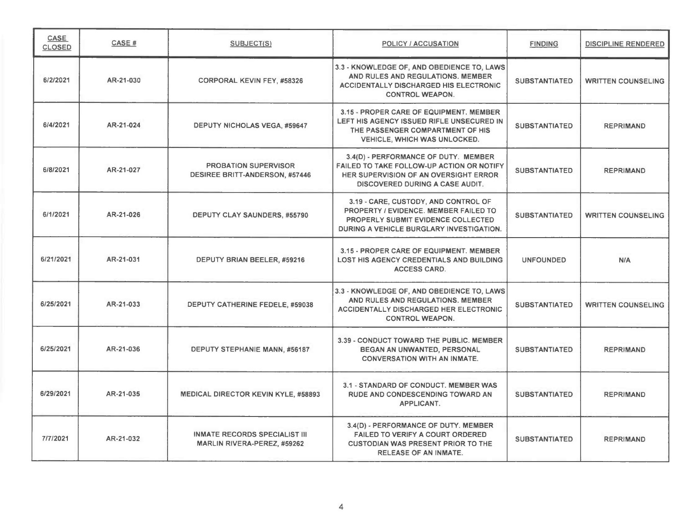| CASE<br><b>CLOSED</b> | CASE #    | <b>SUBJECT(S)</b>                                                    | <b>POLICY / ACCUSATION</b>                                                                                                                                                    | <b>FINDING</b>       | <b>DISCIPLINE RENDERED</b> |
|-----------------------|-----------|----------------------------------------------------------------------|-------------------------------------------------------------------------------------------------------------------------------------------------------------------------------|----------------------|----------------------------|
| 6/2/2021              | AR-21-030 | <b>CORPORAL KEVIN FEY, #58326</b>                                    | 3.3 - KNOWLEDGE OF, AND OBEDIENCE TO, LAWS<br>AND RULES AND REGULATIONS. MEMBER<br><b>ACCIDENTALLY DISCHARGED HIS ELECTRONIC</b><br><b>CONTROL WEAPON.</b>                    | <b>SUBSTANTIATED</b> | <b>WRITTEN COUNSELING</b>  |
| 6/4/2021              | AR-21-024 | <b>DEPUTY NICHOLAS VEGA, #59647</b>                                  | 3.15 - PROPER CARE OF EQUIPMENT, MEMBER<br>LEFT HIS AGENCY ISSUED RIFLE UNSECURED IN<br>THE PASSENGER COMPARTMENT OF HIS<br><b>VEHICLE, WHICH WAS UNLOCKED.</b>               | <b>SUBSTANTIATED</b> | <b>REPRIMAND</b>           |
| 6/8/2021              | AR-21-027 | <b>PROBATION SUPERVISOR</b><br><b>DESIREE BRITT-ANDERSON, #57446</b> | 3.4(D) - PERFORMANCE OF DUTY. MEMBER<br>FAILED TO TAKE FOLLOW-UP ACTION OR NOTIFY<br>HER SUPERVISION OF AN OVERSIGHT ERROR<br><b>DISCOVERED DURING A CASE AUDIT.</b>          | <b>SUBSTANTIATED</b> | <b>REPRIMAND</b>           |
| 6/1/2021              | AR-21-026 | DEPUTY CLAY SAUNDERS, #55790                                         | 3.19 - CARE, CUSTODY, AND CONTROL OF<br><b>PROPERTY / EVIDENCE, MEMBER FAILED TO</b><br><b>PROPERLY SUBMIT EVIDENCE COLLECTED</b><br>DURING A VEHICLE BURGLARY INVESTIGATION. | <b>SUBSTANTIATED</b> | <b>WRITTEN COUNSELING</b>  |
| 6/21/2021             | AR-21-031 | DEPUTY BRIAN BEELER, #59216                                          | 3.15 - PROPER CARE OF EQUIPMENT. MEMBER<br><b>LOST HIS AGENCY CREDENTIALS AND BUILDING</b><br><b>ACCESS CARD.</b>                                                             | <b>UNFOUNDED</b>     | N/A                        |
| 6/25/2021             | AR-21-033 | DEPUTY CATHERINE FEDELE, #59038                                      | 3.3 - KNOWLEDGE OF, AND OBEDIENCE TO, LAWS<br>AND RULES AND REGULATIONS. MEMBER<br><b>ACCIDENTALLY DISCHARGED HER ELECTRONIC</b><br><b>CONTROL WEAPON.</b>                    | <b>SUBSTANTIATED</b> | <b>WRITTEN COUNSELING</b>  |
| 6/25/2021             | AR-21-036 | DEPUTY STEPHANIE MANN, #56187                                        | 3.39 - CONDUCT TOWARD THE PUBLIC. MEMBER<br>BEGAN AN UNWANTED, PERSONAL<br><b>CONVERSATION WITH AN INMATE.</b>                                                                | <b>SUBSTANTIATED</b> | <b>REPRIMAND</b>           |
| 6/29/2021             | AR-21-035 | <b>MEDICAL DIRECTOR KEVIN KYLE, #58893</b>                           | 3.1 - STANDARD OF CONDUCT. MEMBER WAS<br><b>RUDE AND CONDESCENDING TOWARD AN</b><br><b>APPLICANT.</b>                                                                         | <b>SUBSTANTIATED</b> | <b>REPRIMAND</b>           |
| 7/7/2021              | AR-21-032 | <b>INMATE RECORDS SPECIALIST III</b><br>MARLIN RIVERA-PEREZ, #59262  | 3.4(D) - PERFORMANCE OF DUTY. MEMBER<br><b>FAILED TO VERIFY A COURT ORDERED</b><br><b>CUSTODIAN WAS PRESENT PRIOR TO THE</b><br><b>RELEASE OF AN INMATE.</b>                  | <b>SUBSTANTIATED</b> | <b>REPRIMAND</b>           |